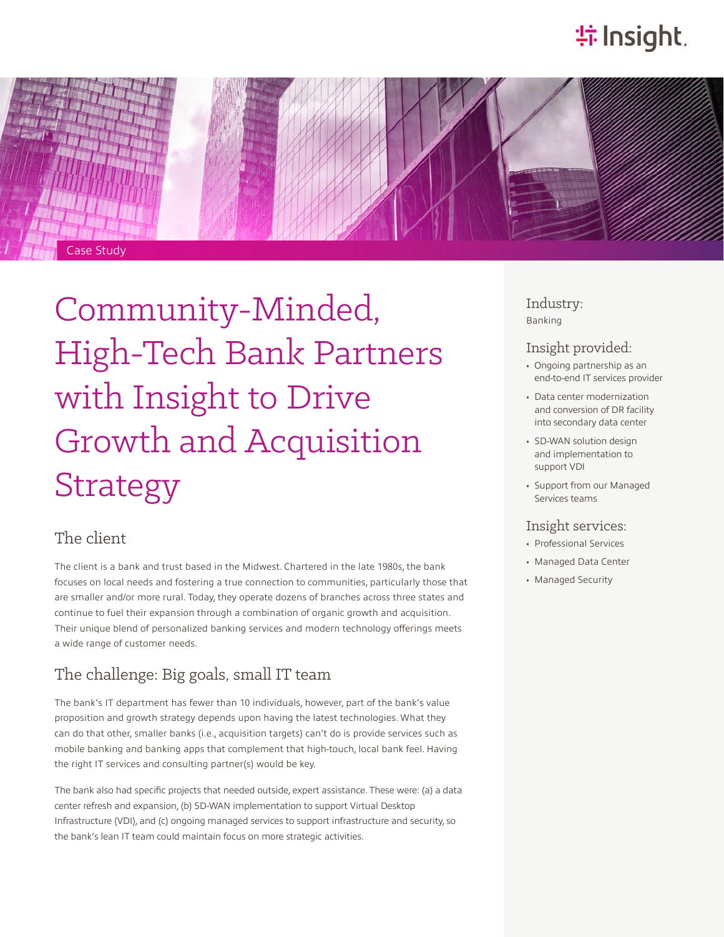# **特 Insight**.



# Community-Minded, High-Tech Bank Partners with Insight to Drive Growth and Acquisition **Strategy**

#### The client

The client is a bank and trust based in the Midwest. Chartered in the late 1980s, the bank focuses on local needs and fostering a true connection to communities, particularly those that are smaller and/or more rural. Today, they operate dozens of branches across three states and continue to fuel their expansion through a combination of organic growth and acquisition. Their unique blend of personalized banking services and modern technology offerings meets a wide range of customer needs.

#### The challenge: Big goals, small IT team

The bank's IT department has fewer than 10 individuals, however, part of the bank's value proposition and growth strategy depends upon having the latest technologies. What they can do that other, smaller banks (i.e., acquisition targets) can't do is provide services such as mobile banking and banking apps that complement that high-touch, local bank feel. Having the right IT services and consulting partner(s) would be key.

The bank also had specific projects that needed outside, expert assistance. These were: (a) a data center refresh and expansion, (b) SD-WAN implementation to support Virtual Desktop Infrastructure (VDI), and (c) ongoing managed services to support infrastructure and security, so the bank's lean IT team could maintain focus on more strategic activities.

Industry: Banking

#### Insight provided:

- Ongoing partnership as an end-to-end IT services provider
- Data center modernization and conversion of DR facility into secondary data center
- SD-WAN solution design and implementation to support VDI
- Support from our Managed Services teams

#### Insight services:

- Professional Services
- Managed Data Center
- Managed Security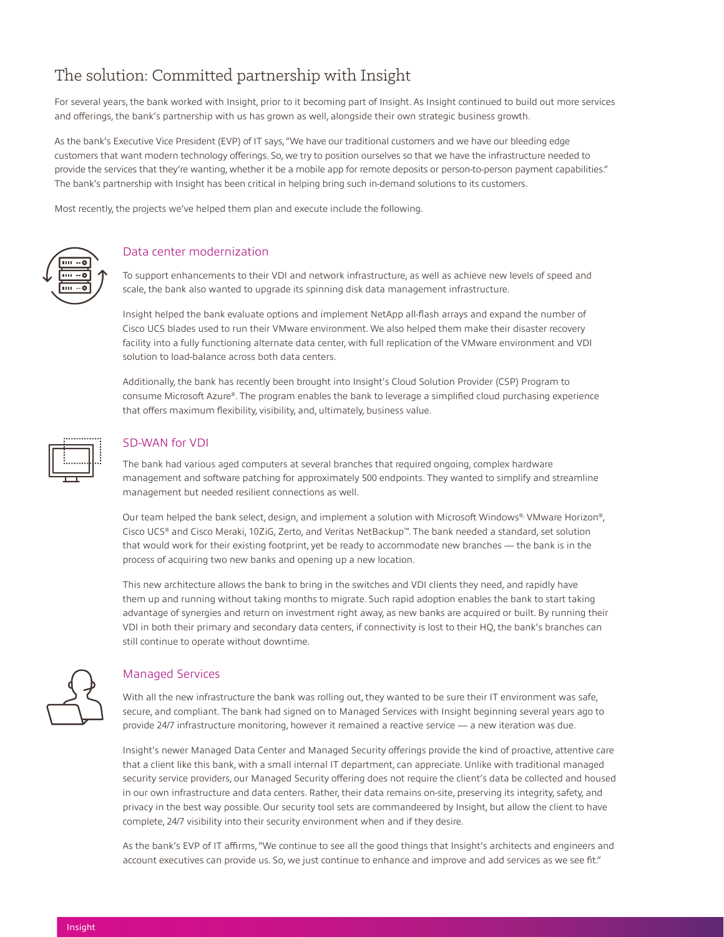### The solution: Committed partnership with Insight

For several years, the bank worked with Insight, prior to it becoming part of Insight. As Insight continued to build out more services and offerings, the bank's partnership with us has grown as well, alongside their own strategic business growth.

As the bank's Executive Vice President (EVP) of IT says, "We have our traditional customers and we have our bleeding edge customers that want modern technology offerings. So, we try to position ourselves so that we have the infrastructure needed to provide the services that they're wanting, whether it be a mobile app for remote deposits or person-to-person payment capabilities." The bank's partnership with Insight has been critical in helping bring such in-demand solutions to its customers.

Most recently, the projects we've helped them plan and execute include the following.



#### Data center modernization

To support enhancements to their VDI and network infrastructure, as well as achieve new levels of speed and scale, the bank also wanted to upgrade its spinning disk data management infrastructure.

Insight helped the bank evaluate options and implement NetApp all-flash arrays and expand the number of Cisco UCS blades used to run their VMware environment. We also helped them make their disaster recovery facility into a fully functioning alternate data center, with full replication of the VMware environment and VDI solution to load-balance across both data centers.

Additionally, the bank has recently been brought into Insight's Cloud Solution Provider (CSP) Program to consume Microsoft Azure®. The program enables the bank to leverage a simplified cloud purchasing experience that offers maximum flexibility, visibility, and, ultimately, business value.



#### SD-WAN for VDI

The bank had various aged computers at several branches that required ongoing, complex hardware management and software patching for approximately 500 endpoints. They wanted to simplify and streamline management but needed resilient connections as well.

Our team helped the bank select, design, and implement a solution with Microsoft Windows®, VMware Horizon®, Cisco UCS® and Cisco Meraki, 10ZiG, Zerto, and Veritas NetBackup™. The bank needed a standard, set solution that would work for their existing footprint, yet be ready to accommodate new branches — the bank is in the process of acquiring two new banks and opening up a new location.

This new architecture allows the bank to bring in the switches and VDI clients they need, and rapidly have them up and running without taking months to migrate. Such rapid adoption enables the bank to start taking advantage of synergies and return on investment right away, as new banks are acquired or built. By running their VDI in both their primary and secondary data centers, if connectivity is lost to their HQ, the bank's branches can still continue to operate without downtime.



#### Managed Services

With all the new infrastructure the bank was rolling out, they wanted to be sure their IT environment was safe, secure, and compliant. The bank had signed on to Managed Services with Insight beginning several years ago to provide 24/7 infrastructure monitoring, however it remained a reactive service — a new iteration was due.

Insight's newer Managed Data Center and Managed Security offerings provide the kind of proactive, attentive care that a client like this bank, with a small internal IT department, can appreciate. Unlike with traditional managed security service providers, our Managed Security offering does not require the client's data be collected and housed in our own infrastructure and data centers. Rather, their data remains on-site, preserving its integrity, safety, and privacy in the best way possible. Our security tool sets are commandeered by Insight, but allow the client to have complete, 24/7 visibility into their security environment when and if they desire.

As the bank's EVP of IT affirms, "We continue to see all the good things that Insight's architects and engineers and account executives can provide us. So, we just continue to enhance and improve and add services as we see fit."